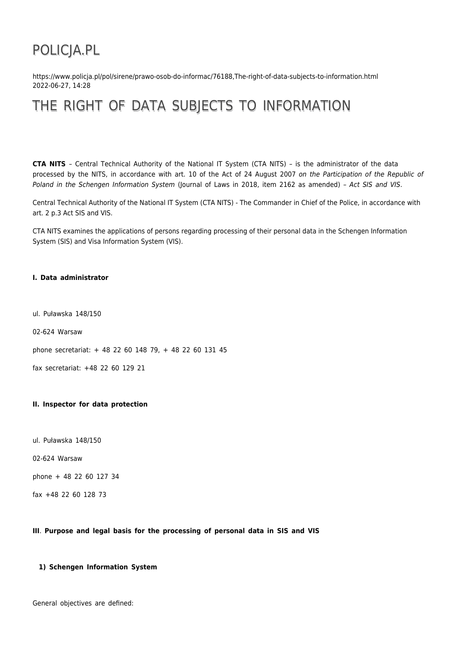# POLICJA.PL

https://www.policja.pl/pol/sirene/prawo-osob-do-informac/76188,The-right-of-data-subjects-to-information.html 2022-06-27, 14:28

## THE RIGHT OF DATA SUBJECTS TO INFORMATION

**CTA NITS** – Central Technical Authority of the National IT System (CTA NITS) – is the administrator of the data processed by the NITS, in accordance with art. 10 of the Act of 24 August 2007 on the Participation of the Republic of Poland in the Schengen Information System (Journal of Laws in 2018, item 2162 as amended) – Act SIS and VIS.

Central Technical Authority of the National IT System (CTA NITS) - The Commander in Chief of the Police, in accordance with art. 2 p.3 Act SIS and VIS.

CTA NITS examines the applications of persons regarding processing of their personal data in the Schengen Information System (SIS) and Visa Information System (VIS).

### **I. Data administrator**

ul. Puławska 148/150

02-624 Warsaw

phone secretariat: + 48 22 60 148 79, + 48 22 60 131 45

fax secretariat: +48 22 60 129 21

#### **II. Inspector for data protection**

ul. Puławska 148/150

02-624 Warsaw

phone + 48 22 60 127 34

fax +48 22 60 128 73

#### **III**. **Purpose and legal basis for the processing of personal data in SIS and VIS**

## **1) Schengen Information System**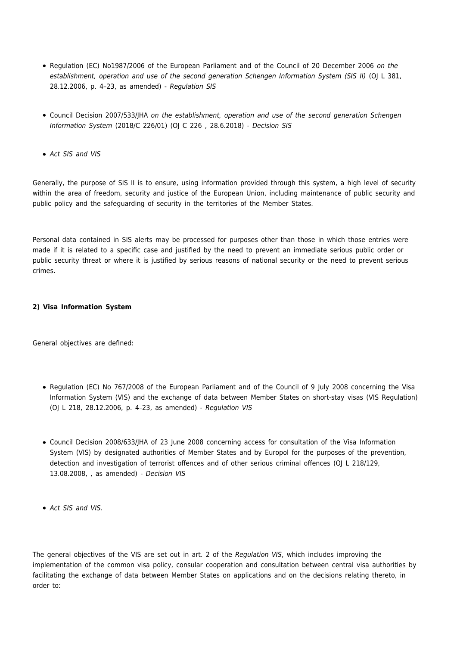- Regulation (EC) No1987/2006 of the European Parliament and of the Council of 20 December 2006 on the establishment, operation and use of the second generation Schengen Information System (SIS II) (OJ L 381, 28.12.2006, p. 4–23, as amended) - Regulation SIS
- Council Decision 2007/533/JHA on the establishment, operation and use of the second generation Schengen Information System (2018/C 226/01) (OJ C 226 , 28.6.2018) - Decision SIS
- Act SIS and VIS

Generally, the purpose of SIS II is to ensure, using information provided through this system, a high level of security within the area of freedom, security and justice of the European Union, including maintenance of public security and public policy and the safeguarding of security in the territories of the Member States.

Personal data contained in SIS alerts may be processed for purposes other than those in which those entries were made if it is related to a specific case and justified by the need to prevent an immediate serious public order or public security threat or where it is justified by serious reasons of national security or the need to prevent serious crimes.

## **2) Visa Information System**

General objectives are defined:

- Regulation (EC) No 767/2008 of the European Parliament and of the Council of 9 July 2008 concerning the Visa Information System (VIS) and the exchange of data between Member States on short-stay visas (VIS Regulation) (OJ L 218, 28.12.2006, p. 4–23, as amended) - Regulation VIS
- Council Decision 2008/633/JHA of 23 June 2008 concerning access for consultation of the Visa Information System (VIS) by designated authorities of Member States and by Europol for the purposes of the prevention, detection and investigation of terrorist offences and of other serious criminal offences (OJ L 218/129, 13.08.2008, , as amended) - Decision VIS
- Act SIS and VIS.

The general objectives of the VIS are set out in art. 2 of the Regulation VIS, which includes improving the implementation of the common visa policy, consular cooperation and consultation between central visa authorities by facilitating the exchange of data between Member States on applications and on the decisions relating thereto, in order to: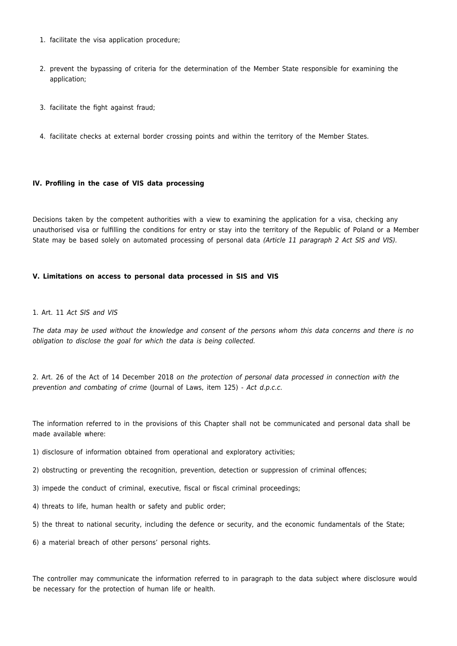- 1. facilitate the visa application procedure;
- 2. prevent the bypassing of criteria for the determination of the Member State responsible for examining the application;
- 3. facilitate the fight against fraud;
- 4. facilitate checks at external border crossing points and within the territory of the Member States.

### **IV. Profiling in the case of VIS data processing**

Decisions taken by the competent authorities with a view to examining the application for a visa, checking any unauthorised visa or fulfilling the conditions for entry or stay into the territory of the Republic of Poland or a Member State may be based solely on automated processing of personal data (Article 11 paragraph 2 Act SIS and VIS).

#### **V. Limitations on access to personal data processed in SIS and VIS**

#### 1. Art. 11 Act SIS and VIS

The data may be used without the knowledge and consent of the persons whom this data concerns and there is no obligation to disclose the goal for which the data is being collected.

2. Art. 26 of the Act of 14 December 2018 on the protection of personal data processed in connection with the prevention and combating of crime (Journal of Laws, item 125) - Act d.p.c.c.

The information referred to in the provisions of this Chapter shall not be communicated and personal data shall be made available where:

- 1) disclosure of information obtained from operational and exploratory activities;
- 2) obstructing or preventing the recognition, prevention, detection or suppression of criminal offences;
- 3) impede the conduct of criminal, executive, fiscal or fiscal criminal proceedings;
- 4) threats to life, human health or safety and public order;
- 5) the threat to national security, including the defence or security, and the economic fundamentals of the State;
- 6) a material breach of other persons' personal rights.

The controller may communicate the information referred to in paragraph to the data subject where disclosure would be necessary for the protection of human life or health.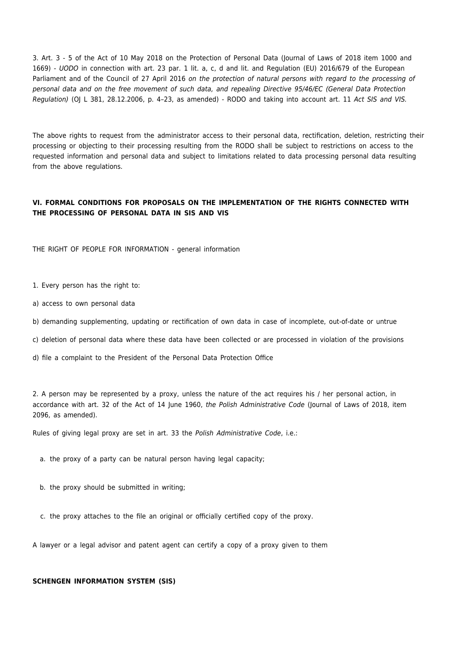3. Art. 3 - 5 of the Act of 10 May 2018 on the Protection of Personal Data (Journal of Laws of 2018 item 1000 and 1669) - UODO in connection with art. 23 par. 1 lit. a, c, d and lit. and Regulation (EU) 2016/679 of the European Parliament and of the Council of 27 April 2016 on the protection of natural persons with regard to the processing of personal data and on the free movement of such data, and repealing Directive 95/46/EC (General Data Protection Regulation) (OJ L 381, 28.12.2006, p. 4–23, as amended) - RODO and taking into account art. 11 Act SIS and VIS.

The above rights to request from the administrator access to their personal data, rectification, deletion, restricting their processing or objecting to their processing resulting from the RODO shall be subject to restrictions on access to the requested information and personal data and subject to limitations related to data processing personal data resulting from the above regulations.

## **VI. FORMAL CONDITIONS FOR PROPOSALS ON THE IMPLEMENTATION OF THE RIGHTS CONNECTED WITH THE PROCESSING OF PERSONAL DATA IN SIS AND VIS**

THE RIGHT OF PEOPLE FOR INFORMATION - general information

1. Every person has the right to:

a) access to own personal data

b) demanding supplementing, updating or rectification of own data in case of incomplete, out-of-date or untrue

c) deletion of personal data where these data have been collected or are processed in violation of the provisions

d) file a complaint to the President of the Personal Data Protection Office

2. A person may be represented by a proxy, unless the nature of the act requires his / her personal action, in accordance with art. 32 of the Act of 14 June 1960, the Polish Administrative Code (Journal of Laws of 2018, item 2096, as amended).

Rules of giving legal proxy are set in art. 33 the Polish Administrative Code, i.e.:

a. the proxy of a party can be natural person having legal capacity;

- b. the proxy should be submitted in writing;
- c. the proxy attaches to the file an original or officially certified copy of the proxy.

A lawyer or a legal advisor and patent agent can certify a copy of a proxy given to them

#### **SCHENGEN INFORMATION SYSTEM (SIS)**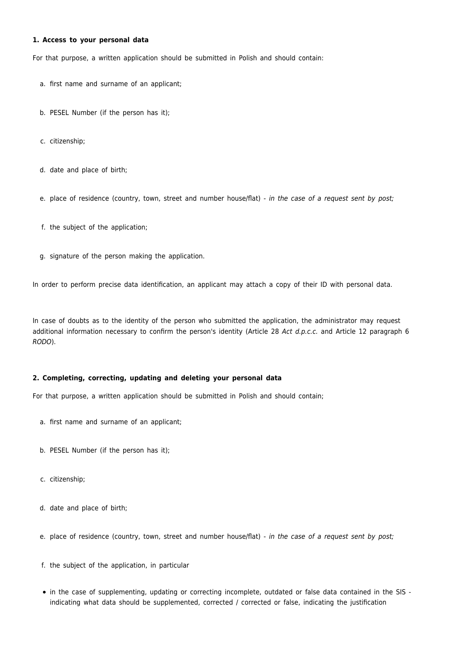#### **1. Access to your personal data**

For that purpose, a written application should be submitted in Polish and should contain:

- a. first name and surname of an applicant;
- b. PESEL Number (if the person has it);
- c. citizenship;
- d. date and place of birth;

e. place of residence (country, town, street and number house/flat) - in the case of a request sent by post;

- f. the subject of the application;
- g. signature of the person making the application.

In order to perform precise data identification, an applicant may attach a copy of their ID with personal data.

In case of doubts as to the identity of the person who submitted the application, the administrator may request additional information necessary to confirm the person's identity (Article 28 Act d.p.c.c. and Article 12 paragraph 6 RODO).

## **2. Completing, correcting, updating and deleting your personal data**

For that purpose, a written application should be submitted in Polish and should contain;

- a. first name and surname of an applicant;
- b. PESEL Number (if the person has it);
- c. citizenship;
- d. date and place of birth;
- e. place of residence (country, town, street and number house/flat) in the case of a request sent by post;
- f. the subject of the application, in particular
- in the case of supplementing, updating or correcting incomplete, outdated or false data contained in the SIS indicating what data should be supplemented, corrected / corrected or false, indicating the justification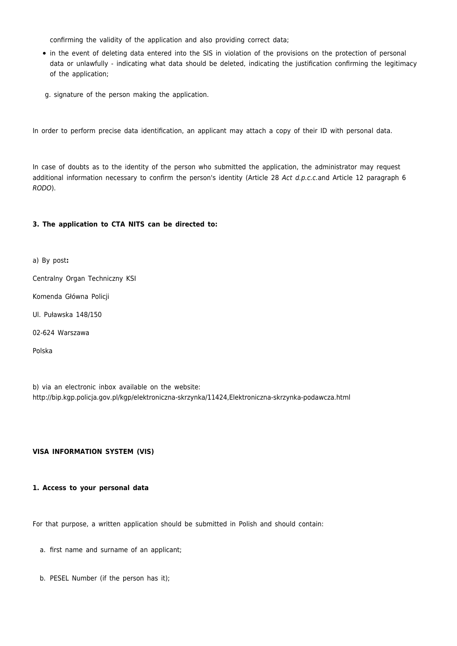confirming the validity of the application and also providing correct data;

- in the event of deleting data entered into the SIS in violation of the provisions on the protection of personal data or unlawfully - indicating what data should be deleted, indicating the justification confirming the legitimacy of the application;
- g. signature of the person making the application.

In order to perform precise data identification, an applicant may attach a copy of their ID with personal data.

In case of doubts as to the identity of the person who submitted the application, the administrator may request additional information necessary to confirm the person's identity (Article 28 Act d.p.c.c.and Article 12 paragraph 6 RODO).

## **3. The application to CTA NITS can be directed to:**

a) By post**:** Centralny Organ Techniczny KSI Komenda Główna Policji Ul. Puławska 148/150 02-624 Warszawa Polska

b) via an electronic inbox available on the website: http://bip.kgp.policja.gov.pl/kgp/elektroniczna-skrzynka/11424,Elektroniczna-skrzynka-podawcza.html

## **VISA INFORMATION SYSTEM (VIS)**

#### **1. Access to your personal data**

For that purpose, a written application should be submitted in Polish and should contain:

- a. first name and surname of an applicant;
- b. PESEL Number (if the person has it);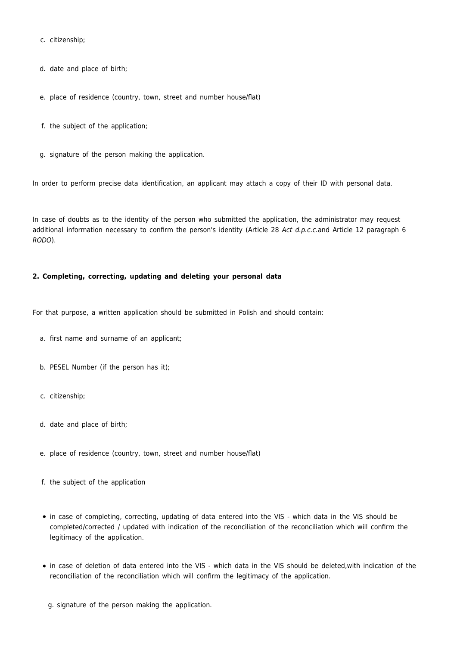c. citizenship;

- d. date and place of birth;
- e. place of residence (country, town, street and number house/flat)
- f. the subject of the application;
- g. signature of the person making the application.

In order to perform precise data identification, an applicant may attach a copy of their ID with personal data.

In case of doubts as to the identity of the person who submitted the application, the administrator may request additional information necessary to confirm the person's identity (Article 28 Act d.p.c.c.and Article 12 paragraph 6 RODO).

## **2. Completing, correcting, updating and deleting your personal data**

For that purpose, a written application should be submitted in Polish and should contain:

- a. first name and surname of an applicant;
- b. PESEL Number (if the person has it);
- c. citizenship;
- d. date and place of birth;
- e. place of residence (country, town, street and number house/flat)
- f. the subject of the application
- in case of completing, correcting, updating of data entered into the VIS which data in the VIS should be completed/corrected / updated with indication of the reconciliation of the reconciliation which will confirm the legitimacy of the application.
- in case of deletion of data entered into the VIS which data in the VIS should be deleted,with indication of the reconciliation of the reconciliation which will confirm the legitimacy of the application.
	- g. signature of the person making the application.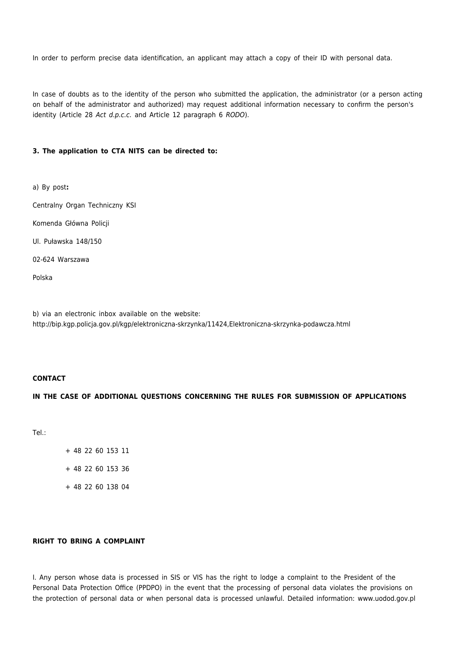In order to perform precise data identification, an applicant may attach a copy of their ID with personal data.

In case of doubts as to the identity of the person who submitted the application, the administrator (or a person acting on behalf of the administrator and authorized) may request additional information necessary to confirm the person's identity (Article 28 Act d.p.c.c. and Article 12 paragraph 6 RODO).

## **3. The application to CTA NITS can be directed to:**

a) By post**:**

Centralny Organ Techniczny KSI

Komenda Główna Policji

Ul. Puławska 148/150

02-624 Warszawa

Polska

b) via an electronic inbox available on the website: http://bip.kgp.policja.gov.pl/kgp/elektroniczna-skrzynka/11424,Elektroniczna-skrzynka-podawcza.html

## **CONTACT**

## **IN THE CASE OF ADDITIONAL QUESTIONS CONCERNING THE RULES FOR SUBMISSION OF APPLICATIONS**

Tel.:

+ 48 22 60 153 11

+ 48 22 60 153 36

+ 48 22 60 138 04

## **RIGHT TO BRING A COMPLAINT**

I. Any person whose data is processed in SIS or VIS has the right to lodge a complaint to the President of the Personal Data Protection Office (PPDPO) in the event that the processing of personal data violates the provisions on the protection of personal data or when personal data is processed unlawful. Detailed information: www.uodod.gov.pl